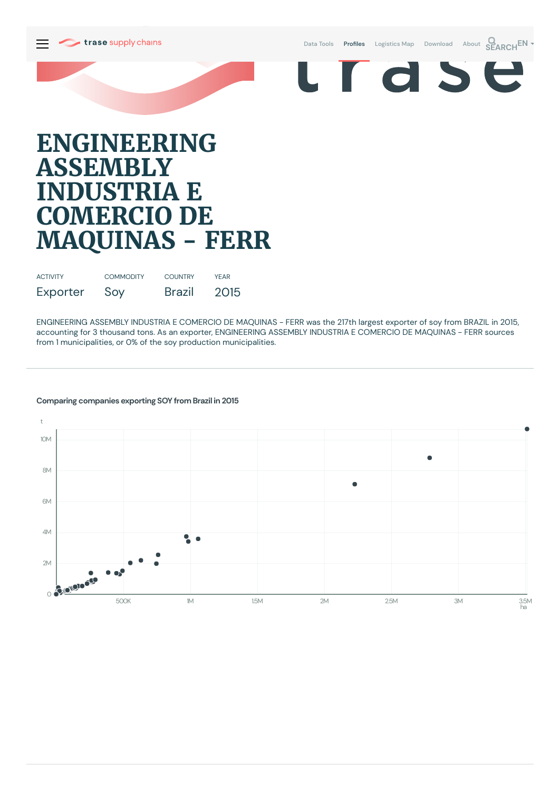



# **ENGINEERING ASSEMBLY INDUSTRIA E COMERCIO DE MAQUINAS - FERR**

| <b>ACTIVITY</b> | <b>COMMODITY</b> | <b>COUNTRY</b> | YFAR |
|-----------------|------------------|----------------|------|
| Exporter        | Soy              | <b>Brazil</b>  | 2015 |

ENGINEERING ASSEMBLY INDUSTRIA E COMERCIO DE MAQUINAS - FERR was the 217th largest exporter of soy from BRAZIL in 2015, accounting for 3 thousand tons. As an exporter, ENGINEERING ASSEMBLY INDUSTRIA E COMERCIO DE MAQUINAS - FERR sources from 1municipalities, or 0% of the soy production municipalities.

### **Comparing companies exporting SOY from Brazil in 2015**